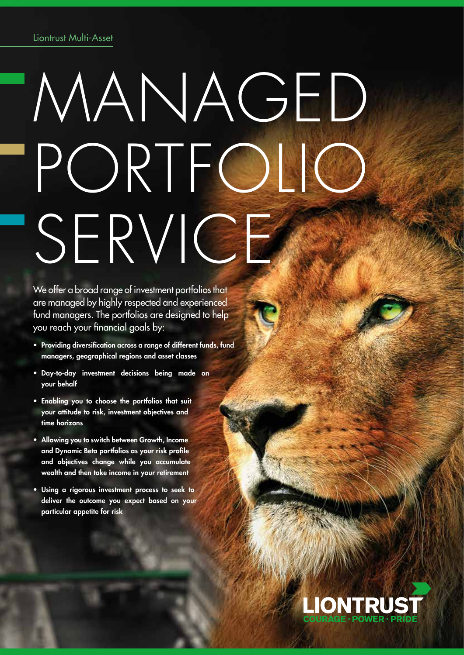Liontrust Multi-Asset

# MANAGED PORTFOLIO SERVICE

We offer a broad range of investment portfolios that are managed by highly respected and experienced fund managers. The portfolios are designed to help you reach your financial goals by:

- Providing diversification across a range of different funds, fund managers, geographical regions and asset classes
- Day-to-day investment decisions being made on your behalf
- Enabling you to choose the portfolios that suit your attitude to risk, investment objectives and time horizons
- Allowing you to switch between Growth, Income and Dynamic Beta portfolios as your risk profile and objectives change while you accumulate wealth and then take income in your retirement
- Using a rigorous investment process to seek to deliver the outcome you expect based on your particular appetite for risk

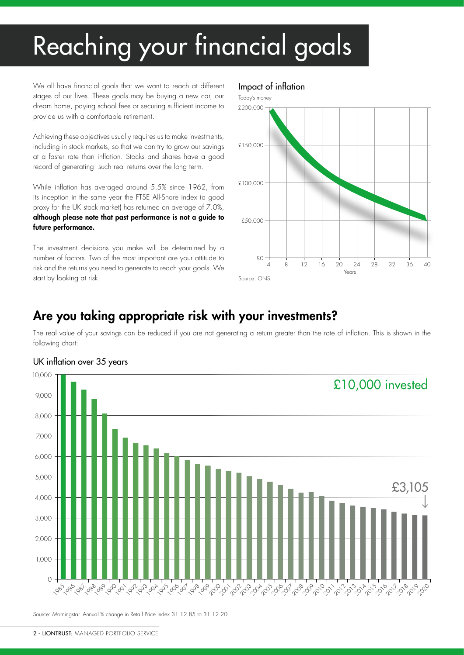# Reaching your financial goals

We all have financial goals that we want to reach at different stages of our lives. These goals may be buying a new car, our dream home, paying school fees or securing sufficient income to provide us with a comfortable retirement.

Achieving these objectives usually requires us to make investments, including in stock markets, so that we can try to grow our savings at a faster rate than inflation. Stocks and shares have a good record of generating such real returns over the long term.

While inflation has averaged around 5.5% since 1962, from its inception in the same year the FTSE All-Share index (a good proxy for the UK stock market) has returned an average of 7.0%, although please note that past performance is not a guide to future performance.

The investment decisions you make will be determined by a number of factors. Two of the most important are your attitude to risk and the returns you need to generate to reach your goals. We start by looking at risk.

#### Impact of inflation



# Are you taking appropriate risk with your investments?

The real value of your savings can be reduced if you are not generating a return greater than the rate of inflation. This is shown in the following chart:



#### UK inflation over 35 years

Source: Morningstar. Annual % change in Retail Price Index 31.12.85 to 31.12.20.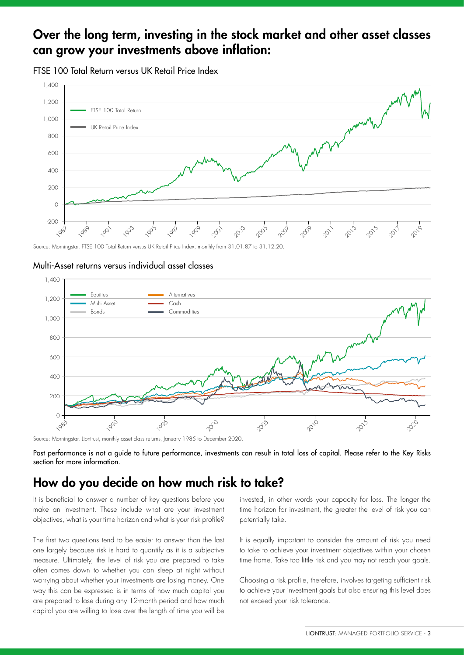### Over the long term, investing in the stock market and other asset classes can grow your investments above inflation:

FTSE 100 Total Return versus UK Retail Price Index



Source: Morningstar. FTSE 100 Total Return versus UK Retail Price Index, monthly from 31.01.87 to 31.12.20.

#### 1,400 1,200 1,000 800 600 400  $200$  $\Omega$ 1990 1995 200-2005-2010 2015 2021 Equities Multi Asset Bonds Alternatives Cash Commodities 1981

#### Multi-Asset returns versus individual asset classes

Source: Morningstar, Liontrust, monthly asset class returns, January 1985 to December 2020.

Past performance is not a guide to future performance, investments can result in total loss of capital. Please refer to the Key Risks section for more information.

# How do you decide on how much risk to take?

It is beneficial to answer a number of key questions before you make an investment. These include what are your investment objectives, what is your time horizon and what is your risk profile?

The first two questions tend to be easier to answer than the last one largely because risk is hard to quantify as it is a subjective measure. Ultimately, the level of risk you are prepared to take often comes down to whether you can sleep at night without worrying about whether your investments are losing money. One way this can be expressed is in terms of how much capital you are prepared to lose during any 12-month period and how much capital you are willing to lose over the length of time you will be

invested, in other words your capacity for loss. The longer the time horizon for investment, the greater the level of risk you can potentially take.

It is equally important to consider the amount of risk you need to take to achieve your investment objectives within your chosen time frame. Take too little risk and you may not reach your goals.

Choosing a risk profile, therefore, involves targeting sufficient risk to achieve your investment goals but also ensuring this level does not exceed your risk tolerance.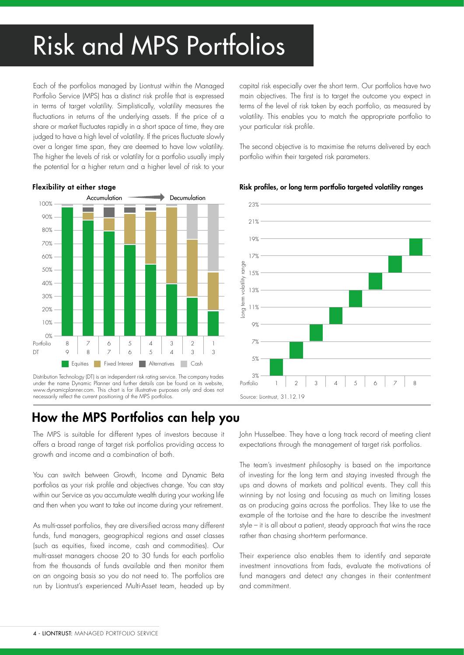# Risk and MPS Portfolios

Each of the portfolios managed by Liontrust within the Managed Portfolio Service (MPS) has a distinct risk profile that is expressed in terms of target volatility. Simplistically, volatility measures the fluctuations in returns of the underlying assets. If the price of a share or market fluctuates rapidly in a short space of time, they are judged to have a high level of volatility. If the prices fluctuate slowly over a longer time span, they are deemed to have low volatility. The higher the levels of risk or volatility for a portfolio usually imply the potential for a higher return and a higher level of risk to your



Flexibility at either stage

Distribution Technology (DT) is an independent risk rating service. The company trades under the name Dynamic Planner and further details can be found on its website, www.dynamicplanner.com. This chart is for illustrative purposes only and does not necessarily reflect the current positioning of the MPS portfolios.

capital risk especially over the short term. Our portfolios have two main objectives. The first is to target the outcome you expect in terms of the level of risk taken by each portfolio, as measured by volatility. This enables you to match the appropriate portfolio to your particular risk profile.

The second objective is to maximise the returns delivered by each portfolio within their targeted risk parameters.



#### Risk profiles, or long term portfolio targeted volatility ranges

# How the MPS Portfolios can help you

The MPS is suitable for different types of investors because it offers a broad range of target risk portfolios providing access to growth and income and a combination of both.

You can switch between Growth, Income and Dynamic Beta portfolios as your risk profile and objectives change. You can stay within our Service as you accumulate wealth during your working life and then when you want to take out income during your retirement.

As multi-asset portfolios, they are diversified across many different funds, fund managers, geographical regions and asset classes (such as equities, fixed income, cash and commodities). Our multi-asset managers choose 20 to 30 funds for each portfolio from the thousands of funds available and then monitor them on an ongoing basis so you do not need to. The portfolios are run by Liontrust's experienced Multi-Asset team, headed up by John Husselbee. They have a long track record of meeting client expectations through the management of target risk portfolios.

The team's investment philosophy is based on the importance of investing for the long term and staying invested through the ups and downs of markets and political events. They call this winning by not losing and focusing as much on limiting losses as on producing gains across the portfolios. They like to use the example of the tortoise and the hare to describe the investment style – it is all about a patient, steady approach that wins the race rather than chasing short-term performance.

Their experience also enables them to identify and separate investment innovations from fads, evaluate the motivations of fund managers and detect any changes in their contentment and commitment.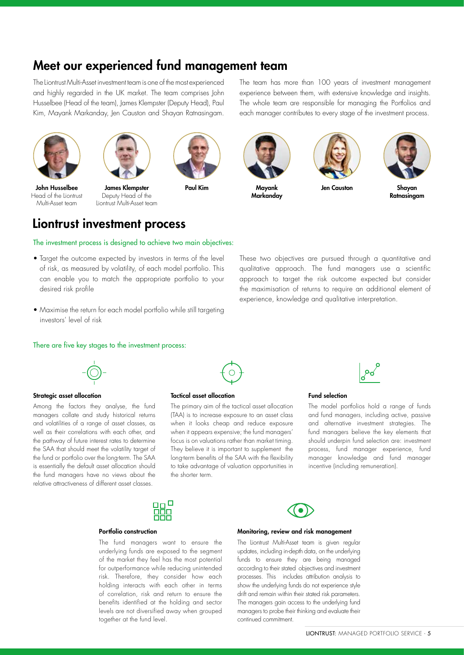### Meet our experienced fund management team

The Liontrust Multi-Asset investment team is one of the most experienced and highly regarded in the UK market. The team comprises John Husselbee (Head of the team), James Klempster (Deputy Head), Paul Kim, Mayank Markanday, Jen Causton and Shayan Ratnasingam.

The team has more than 100 years of investment management experience between them, with extensive knowledge and insights. The whole team are responsible for managing the Portfolios and each manager contributes to every stage of the investment process.





John Husselbee Head of the Liontrust Multi-Asset team

James Klempster Deputy Head of the Liontrust Multi-Asset team



Paul Kim Mayank



Markanday



These two objectives are pursued through a quantitative and qualitative approach. The fund managers use a scientific approach to target the risk outcome expected but consider the maximisation of returns to require an additional element of

experience, knowledge and qualitative interpretation.

Jen Causton Shayan Ratnasingam

#### Liontrust investment process

#### The investment process is designed to achieve two main objectives:

- Target the outcome expected by investors in terms of the level of risk, as measured by volatility, of each model portfolio. This can enable you to match the appropriate portfolio to your desired risk profile
- Maximise the return for each model portfolio while still targeting investors' level of risk

#### There are five key stages to the investment process:



#### Strategic asset allocation

Among the factors they analyse, the fund managers collate and study historical returns and volatilities of a range of asset classes, as well as their correlations with each other, and the pathway of future interest rates to determine the SAA that should meet the volatility target of the fund or portfolio over the long-term. The SAA is essentially the default asset allocation should the fund managers have no views about the relative attractiveness of different asset classes.



#### Portfolio construction

The fund managers want to ensure the underlying funds are exposed to the segment of the market they feel has the most potential for outperformance while reducing unintended risk. Therefore, they consider how each holding interacts with each other in terms of correlation, risk and return to ensure the benefits identified at the holding and sector levels are not diversified away when grouped together at the fund level.



#### Tactical asset allocation

The primary aim of the tactical asset allocation (TAA) is to increase exposure to an asset class when it looks cheap and reduce exposure when it appears expensive; the fund managers' focus is on valuations rather than market timing. They believe it is important to supplement the long-term benefits of the SAA with the flexibility to take advantage of valuation opportunities in the shorter term.



#### Fund selection

The model portfolios hold a range of funds and fund managers, including active, passive and alternative investment strategies. The fund managers believe the key elements that should underpin fund selection are: investment process, fund manager experience, fund manager knowledge and fund manager incentive (including remuneration).



#### Monitoring, review and risk management

The Liontrust Multi-Asset team is given regular updates, including in-depth data, on the underlying funds to ensure they are being managed according to their stated objectives and investment processes. This includes attribution analysis to show the underlying funds do not experience style drift and remain within their stated risk parameters. The managers gain access to the underlying fund managers to probe their thinking and evaluate their continued commitment.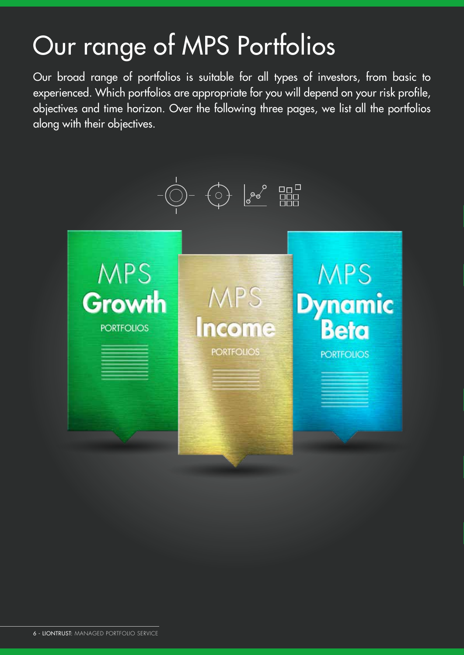# Our range of MPS Portfolios

Our broad range of portfolios is suitable for all types of investors, from basic to experienced. Which portfolios are appropriate for you will depend on your risk profile, objectives and time horizon. Over the following three pages, we list all the portfolios along with their objectives.

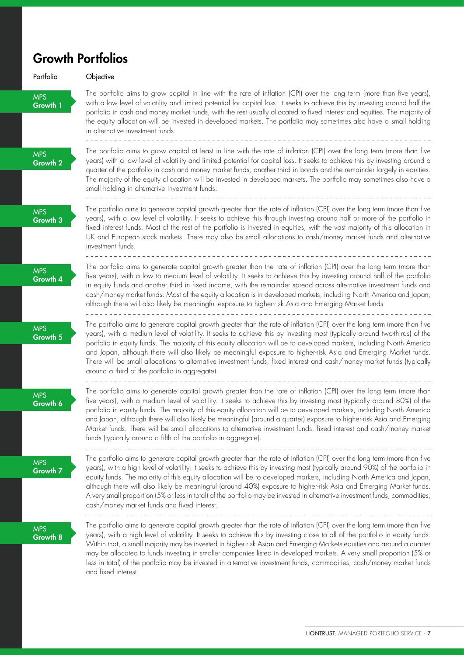# Growth Portfolios

MPS Growth 1

MPS Growth 2

MPS Growth 3

MPS Growth 4

MPS Growth 5

MPS Growth 6

MPS Growth 7

MPS Growth 8

#### Portfolio Objective

The portfolio aims to grow capital in line with the rate of inflation (CPI) over the long term (more than five years), with a low level of volatility and limited potential for capital loss. It seeks to achieve this by investing around half the portfolio in cash and money market funds, with the rest usually allocated to fixed interest and equities. The majority of the equity allocation will be invested in developed markets. The portfolio may sometimes also have a small holding in alternative investment funds.

The portfolio aims to grow capital at least in line with the rate of inflation (CPI) over the long term (more than five years) with a low level of volatility and limited potential for capital loss. It seeks to achieve this by investing around a quarter of the portfolio in cash and money market funds, another third in bonds and the remainder largely in equities.

The majority of the equity allocation will be invested in developed markets. The portfolio may sometimes also have a small holding in alternative investment funds.

The portfolio aims to generate capital growth greater than the rate of inflation (CPI) over the long term (more than five years), with a low level of volatility. It seeks to achieve this through investing around half or more of the portfolio in fixed interest funds. Most of the rest of the portfolio is invested in equities, with the vast majority of this allocation in UK and European stock markets. There may also be small allocations to cash/money market funds and alternative investment funds.

The portfolio aims to generate capital growth greater than the rate of inflation (CPI) over the long term (more than five years), with a low to medium level of volatility. It seeks to achieve this by investing around half of the portfolio in equity funds and another third in fixed income, with the remainder spread across alternative investment funds and cash/money market funds. Most of the equity allocation is in developed markets, including North America and Japan, although there will also likely be meaningful exposure to higher-risk Asia and Emerging Market funds.

The portfolio aims to generate capital growth greater than the rate of inflation (CPI) over the long term (more than five years), with a medium level of volatility. It seeks to achieve this by investing most (typically around two-thirds) of the portfolio in equity funds. The majority of this equity allocation will be to developed markets, including North America and Japan, although there will also likely be meaningful exposure to higher-risk Asia and Emerging Market funds. There will be small allocations to alternative investment funds, fixed interest and cash/money market funds (typically around a third of the portfolio in aggregate).

The portfolio aims to generate capital growth greater than the rate of inflation (CPI) over the long term (more than five years), with a medium level of volatility. It seeks to achieve this by investing most (typically around 80%) of the portfolio in equity funds. The majority of this equity allocation will be to developed markets, including North America and Japan, although there will also likely be meaningful (around a quarter) exposure to higher-risk Asia and Emerging Market funds. There will be small allocations to alternative investment funds, fixed interest and cash/money market funds (typically around a fifth of the portfolio in aggregate).

The portfolio aims to generate capital growth greater than the rate of inflation (CPI) over the long term (more than five years), with a high level of volatility. It seeks to achieve this by investing most (typically around 90%) of the portfolio in equity funds. The majority of this equity allocation will be to developed markets, including North America and Japan, although there will also likely be meaningful (around 40%) exposure to higher-risk Asia and Emerging Market funds. A very small proportion (5% or less in total) of the portfolio may be invested in alternative investment funds, commodities, cash/money market funds and fixed interest.

The portfolio aims to generate capital growth greater than the rate of inflation (CPI) over the long term (more than five years), with a high level of volatility. It seeks to achieve this by investing close to all of the portfolio in equity funds. Within that, a small majority may be invested in higher-risk Asian and Emerging Markets equities and around a quarter may be allocated to funds investing in smaller companies listed in developed markets. A very small proportion (5% or less in total) of the portfolio may be invested in alternative investment funds, commodities, cash/money market funds and fixed interest.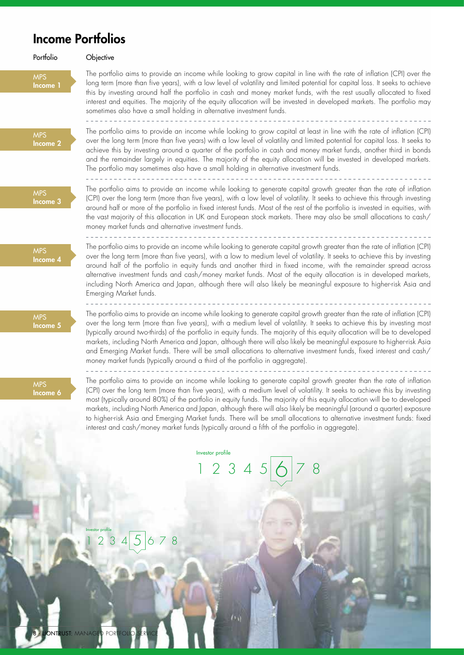### Income Portfolios

#### Portfolio Objective

MPS Income<sup>1</sup>

MPS Income 2

MPS Income 3

MPS Income 4

MPS Income 5

MPS **Income** 

The portfolio aims to provide an income while looking to grow capital in line with the rate of inflation (CPI) over the long term (more than five years), with a low level of volatility and limited potential for capital loss. It seeks to achieve this by investing around half the portfolio in cash and money market funds, with the rest usually allocated to fixed interest and equities. The majority of the equity allocation will be invested in developed markets. The portfolio may sometimes also have a small holding in alternative investment funds.

The portfolio aims to provide an income while looking to grow capital at least in line with the rate of inflation (CPI) over the long term (more than five years) with a low level of volatility and limited potential for capital loss. It seeks to achieve this by investing around a quarter of the portfolio in cash and money market funds, another third in bonds and the remainder largely in equities. The majority of the equity allocation will be invested in developed markets. The portfolio may sometimes also have a small holding in alternative investment funds.

The portfolio aims to provide an income while looking to generate capital growth greater than the rate of inflation (CPI) over the long term (more than five years), with a low level of volatility. It seeks to achieve this through investing around half or more of the portfolio in fixed interest funds. Most of the rest of the portfolio is invested in equities, with the vast majority of this allocation in UK and European stock markets. There may also be small allocations to cash/ money market funds and alternative investment funds.

The portfolio aims to provide an income while looking to generate capital growth greater than the rate of inflation (CPI) over the long term (more than five years), with a low to medium level of volatility. It seeks to achieve this by investing around half of the portfolio in equity funds and another third in fixed income, with the remainder spread across alternative investment funds and cash/money market funds. Most of the equity allocation is in developed markets, including North America and Japan, although there will also likely be meaningful exposure to higher-risk Asia and Emerging Market funds.

The portfolio aims to provide an income while looking to generate capital growth greater than the rate of inflation (CPI) over the long term (more than five years), with a medium level of volatility. It seeks to achieve this by investing most (typically around two-thirds) of the portfolio in equity funds. The majority of this equity allocation will be to developed markets, including North America and Japan, although there will also likely be meaningful exposure to higher-risk Asia and Emerging Market funds. There will be small allocations to alternative investment funds, fixed interest and cash/ money market funds (typically around a third of the portfolio in aggregate).

The portfolio aims to provide an income while looking to generate capital growth greater than the rate of inflation (CPI) over the long term (more than five years), with a medium level of volatility. It seeks to achieve this by investing most (typically around 80%) of the portfolio in equity funds. The majority of this equity allocation will be to developed markets, including North America and Japan, although there will also likely be meaningful (around a quarter) exposure to higher-risk Asia and Emerging Market funds. There will be small allocations to alternative investment funds: fixed interest and cash/money market funds (typically around a fifth of the portfolio in aggregate).

Investor profile

 $1 2 3 4$ 

1 2 3 4 5 6 7 8

Investor profile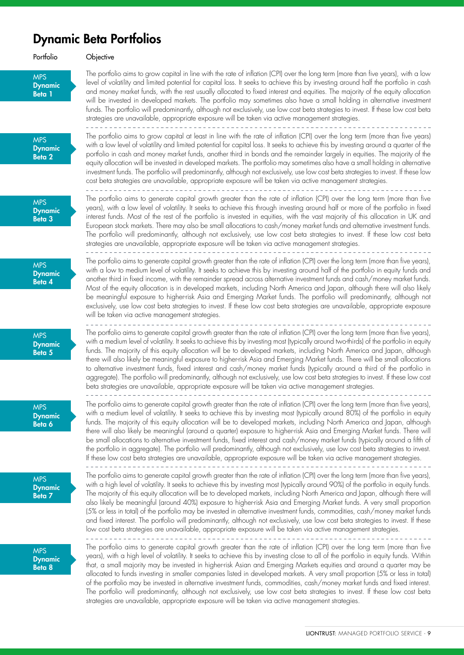# Dynamic Beta Portfolios



#### Portfolio Objective

MPS Dynamic Beta 1

MPS **Dynamic** Beta 2

MPS Dynamic Beta 3



MPS Dynamic Beta 5

MPS Dynamic Beta 6

MPS Dynamic Beta 7

MPS **Dynamic** Beta 8

The portfolio aims to grow capital in line with the rate of inflation (CPI) over the long term (more than five years), with a low level of volatility and limited potential for capital loss. It seeks to achieve this by investing around half the portfolio in cash and money market funds, with the rest usually allocated to fixed interest and equities. The majority of the equity allocation will be invested in developed markets. The portfolio may sometimes also have a small holding in alternative investment funds. The portfolio will predominantly, although not exclusively, use low cost beta strategies to invest. If these low cost beta strategies are unavailable, appropriate exposure will be taken via active management strategies.

The portfolio aims to grow capital at least in line with the rate of inflation (CPI) over the long term (more than five years) with a low level of volatility and limited potential for capital loss. It seeks to achieve this by investing around a quarter of the portfolio in cash and money market funds, another third in bonds and the remainder largely in equities. The majority of the equity allocation will be invested in developed markets. The portfolio may sometimes also have a small holding in alternative investment funds. The portfolio will predominantly, although not exclusively, use low cost beta strategies to invest. If these low cost beta strategies are unavailable, appropriate exposure will be taken via active management strategies. 

The portfolio aims to generate capital growth greater than the rate of inflation (CPI) over the long term (more than five years), with a low level of volatility. It seeks to achieve this through investing around half or more of the portfolio in fixed interest funds. Most of the rest of the portfolio is invested in equities, with the vast majority of this allocation in UK and European stock markets. There may also be small allocations to cash/money market funds and alternative investment funds. The portfolio will predominantly, although not exclusively, use low cost beta strategies to invest. If these low cost beta strategies are unavailable, appropriate exposure will be taken via active management strategies.

The portfolio aims to generate capital growth greater than the rate of inflation (CPI) over the long term (more than five years), with a low to medium level of volatility. It seeks to achieve this by investing around half of the portfolio in equity funds and another third in fixed income, with the remainder spread across alternative investment funds and cash/money market funds. Most of the equity allocation is in developed markets, including North America and Japan, although there will also likely be meaningful exposure to higher-risk Asia and Emerging Market funds. The portfolio will predominantly, although not exclusively, use low cost beta strategies to invest. If these low cost beta strategies are unavailable, appropriate exposure will be taken via active management strategies.

The portfolio aims to generate capital growth greater than the rate of inflation (CPI) over the long term (more than five years), with a medium level of volatility. It seeks to achieve this by investing most (typically around two-thirds) of the portfolio in equity funds. The majority of this equity allocation will be to developed markets, including North America and Japan, although there will also likely be meaningful exposure to higher-risk Asia and Emerging Market funds. There will be small allocations to alternative investment funds, fixed interest and cash/money market funds (typically around a third of the portfolio in aggregate). The portfolio will predominantly, although not exclusively, use low cost beta strategies to invest. If these low cost beta strategies are unavailable, appropriate exposure will be taken via active management strategies.

The portfolio aims to generate capital growth greater than the rate of inflation (CPI) over the long term (more than five years), with a medium level of volatility. It seeks to achieve this by investing most (typically around 80%) of the portfolio in equity funds. The majority of this equity allocation will be to developed markets, including North America and Japan, although there will also likely be meaningful (around a quarter) exposure to higher-risk Asia and Emerging Market funds. There will be small allocations to alternative investment funds, fixed interest and cash/money market funds (typically around a fifth of the portfolio in aggregate). The portfolio will predominantly, although not exclusively, use low cost beta strategies to invest. If these low cost beta strategies are unavailable, appropriate exposure will be taken via active management strategies.

The portfolio aims to generate capital growth greater than the rate of inflation (CPI) over the long term (more than five years), with a high level of volatility. It seeks to achieve this by investing most (typically around 90%) of the portfolio in equity funds. The majority of this equity allocation will be to developed markets, including North America and Japan, although there will also likely be meaningful (around 40%) exposure to higher-risk Asia and Emerging Market funds. A very small proportion (5% or less in total) of the portfolio may be invested in alternative investment funds, commodities, cash/money market funds and fixed interest. The portfolio will predominantly, although not exclusively, use low cost beta strategies to invest. If these low cost beta strategies are unavailable, appropriate exposure will be taken via active management strategies.

The portfolio aims to generate capital growth greater than the rate of inflation (CPI) over the long term (more than five years), with a high level of volatility. It seeks to achieve this by investing close to all of the portfolio in equity funds. Within that, a small majority may be invested in higher-risk Asian and Emerging Markets equities and around a quarter may be allocated to funds investing in smaller companies listed in developed markets. A very small proportion (5% or less in total) of the portfolio may be invested in alternative investment funds, commodities, cash/money market funds and fixed interest. The portfolio will predominantly, although not exclusively, use low cost beta strategies to invest. If these low cost beta strategies are unavailable, appropriate exposure will be taken via active management strategies.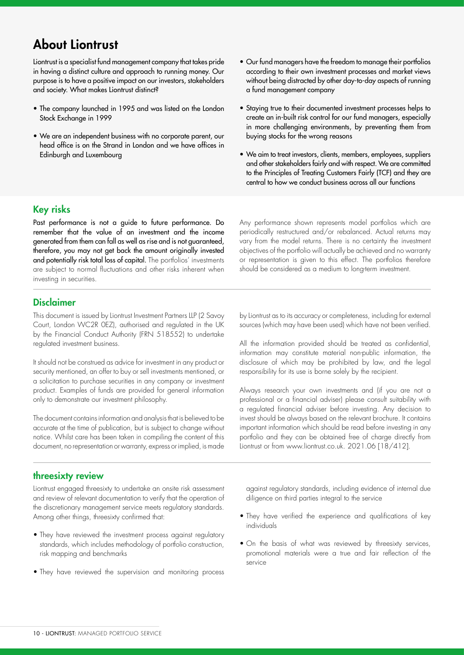# About Liontrust

Liontrust is a specialist fund management company that takes pride in having a distinct culture and approach to running money. Our purpose is to have a positive impact on our investors, stakeholders and society. What makes Liontrust distinct?

- The company launched in 1995 and was listed on the London Stock Exchange in 1999
- We are an independent business with no corporate parent, our head office is on the Strand in London and we have offices in Edinburgh and Luxembourg
- Our fund managers have the freedom to manage their portfolios according to their own investment processes and market views without being distracted by other day-to-day aspects of running a fund management company
- Staying true to their documented investment processes helps to create an in-built risk control for our fund managers, especially in more challenging environments, by preventing them from buying stocks for the wrong reasons
- We aim to treat investors, clients, members, employees, suppliers and other stakeholders fairly and with respect. We are committed to the Principles of Treating Customers Fairly (TCF) and they are central to how we conduct business across all our functions

#### Key risks

Past performance is not a guide to future performance. Do remember that the value of an investment and the income generated from them can fall as well as rise and is not guaranteed, therefore, you may not get back the amount originally invested and potentially risk total loss of capital. The portfolios' investments are subject to normal fluctuations and other risks inherent when investing in securities.

Any performance shown represents model portfolios which are periodically restructured and/or rebalanced. Actual returns may vary from the model returns. There is no certainty the investment objectives of the portfolio will actually be achieved and no warranty or representation is given to this effect. The portfolios therefore should be considered as a medium to long-term investment.

#### Disclaimer

This document is issued by Liontrust Investment Partners LLP (2 Savoy Court, London WC2R 0EZ), authorised and regulated in the UK by the Financial Conduct Authority (FRN 518552) to undertake regulated investment business.

It should not be construed as advice for investment in any product or security mentioned, an offer to buy or sell investments mentioned, or a solicitation to purchase securities in any company or investment product. Examples of funds are provided for general information only to demonstrate our investment philosophy.

The document contains information and analysis that is believed to be accurate at the time of publication, but is subject to change without notice. Whilst care has been taken in compiling the content of this document, no representation or warranty, express or implied, is made

by Liontrust as to its accuracy or completeness, including for external sources (which may have been used) which have not been verified.

All the information provided should be treated as confidential, information may constitute material non-public information, the disclosure of which may be prohibited by law, and the legal responsibility for its use is borne solely by the recipient.

Always research your own investments and (if you are not a professional or a financial adviser) please consult suitability with a regulated financial adviser before investing. Any decision to invest should be always based on the relevant brochure. It contains important information which should be read before investing in any portfolio and they can be obtained free of charge directly from Liontrust or from www.liontrust.co.uk . 2021.06 [18/412].

#### threesixty review

Liontrust engaged threesixty to undertake an onsite risk assessment and review of relevant documentation to verify that the operation of the discretionary management service meets regulatory standards. Among other things, threesixty confirmed that:

- They have reviewed the investment process against regulatory standards, which includes methodology of portfolio construction, risk mapping and benchmarks
- They have reviewed the supervision and monitoring process

against regulatory standards, including evidence of internal due diligence on third parties integral to the service

- They have verified the experience and qualifications of key individuals
- On the basis of what was reviewed by threesixty services, promotional materials were a true and fair reflection of the service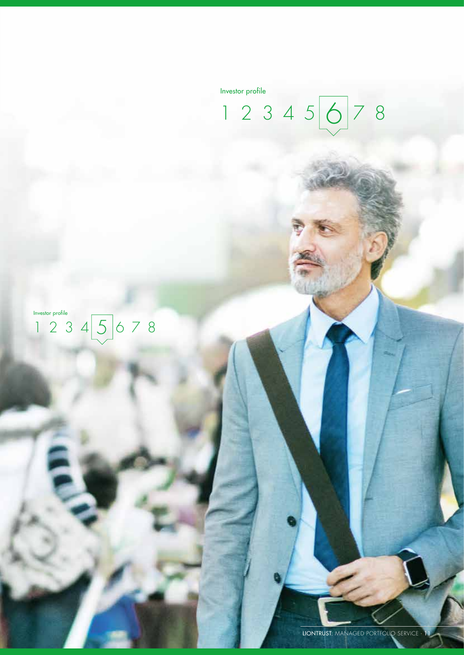Investor profile

 $1 2 3 4 5 6 7 8$ 

# $1 2 3 4 5 6 7 8$ Investor profile

LIONTRUST: MANAGED PORTFOLIO SERVICE